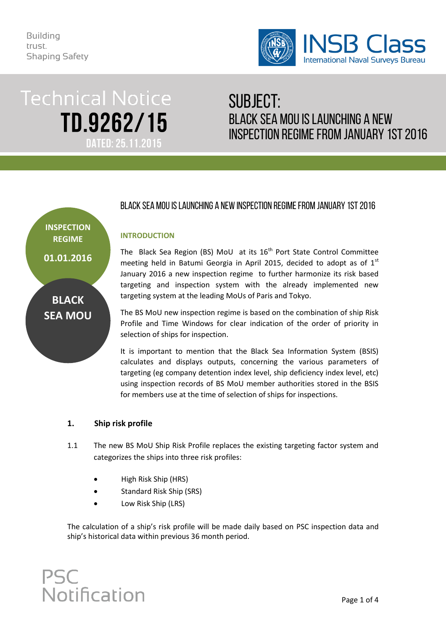

# **Technical Notice** TD.9262/15 **DATED: 25.11.2015**

## SUBJECT: BLACK SEA MOU IS LAUNChING A NEW INSPECTION REGIME FROM JANUARY 1ST 2016

## **INSPECTION REGIME**

**01.01.2016**

**BLACK SEA MOU**

### BLACK SEA MOU IS LAUNChING A NEW INSPECTION REGIME FROM JANUARY 1ST 2016

#### **INTRODUCTION**

The Black Sea Region (BS) MoU at its  $16<sup>th</sup>$  Port State Control Committee meeting held in Batumi Georgia in April 2015, decided to adopt as of  $1<sup>st</sup>$ January 2016 a new inspection regime to further harmonize its risk based targeting and inspection system with the already implemented new targeting system at the leading MoUs of Paris and Tokyo.

The BS MoU new inspection regime is based on the combination of ship Risk Profile and Time Windows for clear indication of the order of priority in selection of ships for inspection.

It is important to mention that the Black Sea Information System (BSIS) calculates and displays outputs, concerning the various parameters of targeting (eg company detention index level, ship deficiency index level, etc) using inspection records of BS MoU member authorities stored in the BSIS for members use at the time of selection of ships for inspections.

#### **1. Ship risk profile**

- 1.1 The new BS MoU Ship Risk Profile replaces the existing targeting factor system and categorizes the ships into three risk profiles:
	- High Risk Ship (HRS)
	- Standard Risk Ship (SRS)
	- Low Risk Ship (LRS)

The calculation of a ship's risk profile will be made daily based on PSC inspection data and ship's historical data within previous 36 month period.

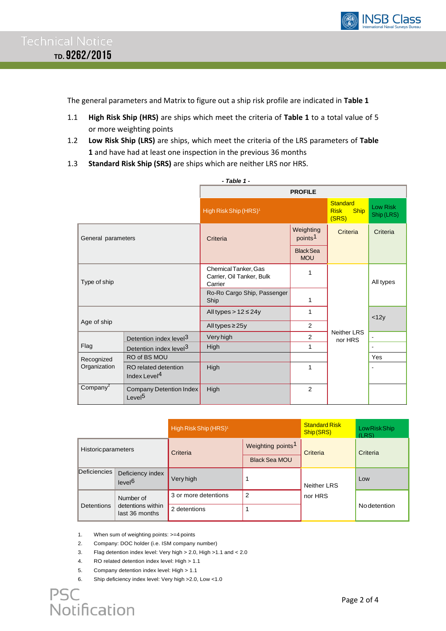

The general parameters and Matrix to figure out a ship risk profile are indicated in **Table 1**

- 1.1 **High Risk Ship (HRS)** are ships which meet the criteria of **Table 1** to a total value of 5 or more weighting points
- 1.2 **Low Risk Ship (LRS)** are ships, which meet the criteria of the LRS parameters of **Table 1** and have had at least one inspection in the previous 36 months
- 1.3 **Standard Risk Ship (SRS)** are ships which are neither LRS nor HRS.

| - Table 1 -                |                                                  |                                                              |                                  |                                                        |                        |  |  |
|----------------------------|--------------------------------------------------|--------------------------------------------------------------|----------------------------------|--------------------------------------------------------|------------------------|--|--|
|                            |                                                  | <b>PROFILE</b>                                               |                                  |                                                        |                        |  |  |
|                            |                                                  | High Risk Ship (HRS) <sup>1</sup>                            |                                  | <b>Standard</b><br><b>Risk</b><br><b>Ship</b><br>(SRS) | Low Risk<br>Ship (LRS) |  |  |
| General parameters         |                                                  | Criteria                                                     | Weighting<br>points <sup>1</sup> | Criteria                                               | Criteria               |  |  |
|                            |                                                  |                                                              | <b>Black Sea</b><br><b>MOU</b>   |                                                        |                        |  |  |
| Type of ship               |                                                  | Chemical Tanker, Gas<br>Carrier, Oil Tanker, Bulk<br>Carrier | 1                                |                                                        | All types              |  |  |
|                            |                                                  | Ro-Ro Cargo Ship, Passenger<br>Ship                          | 1                                |                                                        |                        |  |  |
| Age of ship                |                                                  | All types $> 12 \le 24y$                                     | 1                                |                                                        | <12y                   |  |  |
|                            |                                                  | All types $\geq$ 25y                                         | 2                                |                                                        |                        |  |  |
|                            | Detention index level <sup>3</sup>               | Very high                                                    | $\overline{2}$                   | <b>Neither LRS</b><br>nor HRS                          |                        |  |  |
| Flag                       | Detention index level <sup>3</sup>               | High                                                         | 1                                |                                                        |                        |  |  |
| Recognized<br>Organization | RO of BS MOU                                     |                                                              |                                  |                                                        | Yes                    |  |  |
|                            | RO related detention<br>Index Level <sup>4</sup> | High                                                         | 1                                |                                                        |                        |  |  |
| Company $^2$               | Company Detention Index<br>Level <sup>5</sup>    | High                                                         | 2                                |                                                        |                        |  |  |

|                     |                                                  | High Risk Ship (HRS) <sup>1</sup> |                                                       | <b>Standard Risk</b><br>Ship (SRS) | Low Risk Ship<br>(LRS) |
|---------------------|--------------------------------------------------|-----------------------------------|-------------------------------------------------------|------------------------------------|------------------------|
| Historicparameters  |                                                  | Criteria                          | Weighting points <sup>1</sup><br><b>Black Sea MOU</b> | Criteria                           | Criteria               |
| <b>Deficiencies</b> | Deficiency index<br>level <sup>6</sup>           | Very high                         |                                                       | <b>Neither LRS</b>                 | Low                    |
| Detentions          | Number of<br>detentions within<br>last 36 months | 3 or more detentions              | 2                                                     | nor HRS                            | <b>No</b> detention    |
|                     |                                                  | 2 detentions                      |                                                       |                                    |                        |

1. When sum of weighting points: >=4 points

2. Company: DOC holder (i.e. ISM company number)

3. Flag detention index level: Very high > 2.0, High >1.1 and < 2.0

- 4. RO related detention index level: High > 1.1
- 5. Company detention index level: High > 1.1
- 6. Ship deficiency index level: Very high >2.0, Low <1.0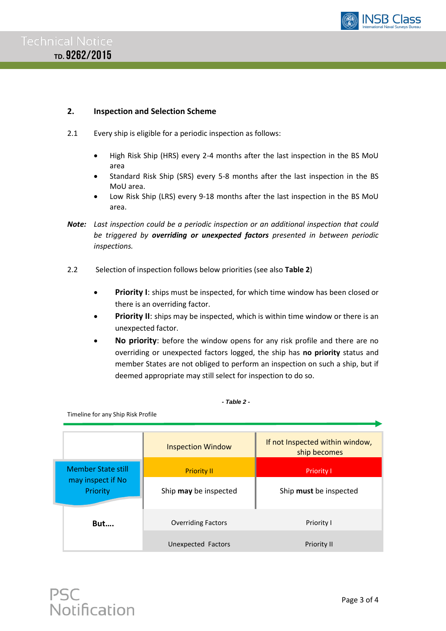

#### **2. Inspection and Selection Scheme**

- 2.1 Every ship is eligible for a periodic inspection as follows:
	- High Risk Ship (HRS) every 2-4 months after the last inspection in the BS MoU area
	- Standard Risk Ship (SRS) every 5-8 months after the last inspection in the BS MoU area.
	- Low Risk Ship (LRS) every 9-18 months after the last inspection in the BS MoU area.
- *Note: Last inspection could be a periodic inspection or an additional inspection that could be triggered by overriding or unexpected factors presented in between periodic inspections.*
- 2.2 Selection of inspection follows below priorities (see also **Table 2**)
	- **Priority I**: ships must be inspected, for which time window has been closed or there is an overriding factor.
	- **Priority II:** ships may be inspected, which is within time window or there is an unexpected factor.
	- **No priority**: before the window opens for any risk profile and there are no overriding or unexpected factors logged, the ship has **no priority** status and member States are not obliged to perform an inspection on such a ship, but if deemed appropriate may still select for inspection to do so.

#### *- Table 2 -*

Timeline for any Ship Risk Profile

|                               | <b>Inspection Window</b>  | If not Inspected within window,<br>ship becomes |  |  |  |
|-------------------------------|---------------------------|-------------------------------------------------|--|--|--|
| <b>Member State still</b>     | <b>Priority II</b>        | <b>Priority I</b>                               |  |  |  |
| may inspect if No<br>Priority | Ship may be inspected     | Ship must be inspected                          |  |  |  |
| <b>But</b>                    | <b>Overriding Factors</b> | Priority I                                      |  |  |  |
|                               | Unexpected Factors        | <b>Priority II</b>                              |  |  |  |